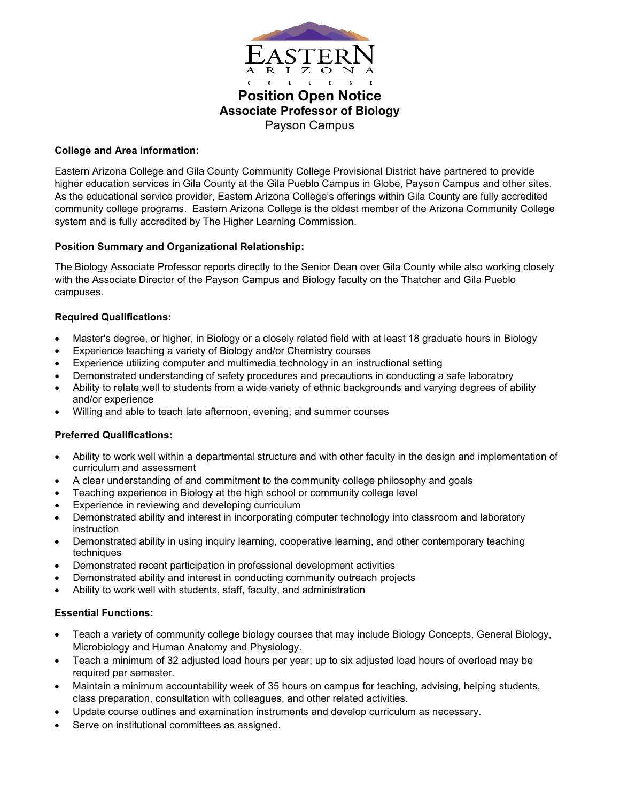

# **Position Open Notice Associate Professor of Biology** Payson Campus

# **College and Area Information:**

Eastern Arizona College and Gila County Community College Provisional District have partnered to provide higher education services in Gila County at the Gila Pueblo Campus in Globe, Payson Campus and other sites. As the educational service provider, Eastern Arizona College's offerings within Gila County are fully accredited community college programs. Eastern Arizona College is the oldest member of the Arizona Community College system and is fully accredited by The Higher Learning Commission.

# **Position Summary and Organizational Relationship:**

The Biology Associate Professor reports directly to the Senior Dean over Gila County while also working closely with the Associate Director of the Payson Campus and Biology faculty on the Thatcher and Gila Pueblo campuses.

# **Required Qualifications:**

- Master's degree, or higher, in Biology or a closely related field with at least 18 graduate hours in Biology
- Experience teaching a variety of Biology and/or Chemistry courses
- Experience utilizing computer and multimedia technology in an instructional setting
- Demonstrated understanding of safety procedures and precautions in conducting a safe laboratory
- Ability to relate well to students from a wide variety of ethnic backgrounds and varying degrees of ability and/or experience
- Willing and able to teach late afternoon, evening, and summer courses

### **Preferred Qualifications:**

- Ability to work well within a departmental structure and with other faculty in the design and implementation of curriculum and assessment
- A clear understanding of and commitment to the community college philosophy and goals
- Teaching experience in Biology at the high school or community college level
- Experience in reviewing and developing curriculum
- Demonstrated ability and interest in incorporating computer technology into classroom and laboratory instruction
- Demonstrated ability in using inquiry learning, cooperative learning, and other contemporary teaching techniques
- Demonstrated recent participation in professional development activities
- Demonstrated ability and interest in conducting community outreach projects
- Ability to work well with students, staff, faculty, and administration

### **Essential Functions:**

- Teach a variety of community college biology courses that may include Biology Concepts, General Biology, Microbiology and Human Anatomy and Physiology.
- Teach a minimum of 32 adjusted load hours per year; up to six adjusted load hours of overload may be required per semester.
- Maintain a minimum accountability week of 35 hours on campus for teaching, advising, helping students, class preparation, consultation with colleagues, and other related activities.
- Update course outlines and examination instruments and develop curriculum as necessary.
- Serve on institutional committees as assigned.